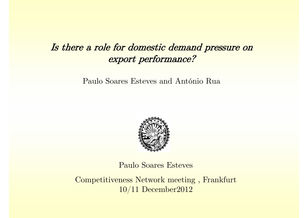## Is there a role for domestic demand pressure on export performance?

Paulo Soares Esteves and António Rua



Paulo Soares Esteves

Competitiveness Network meeting , Frankfurt 10/11 December2012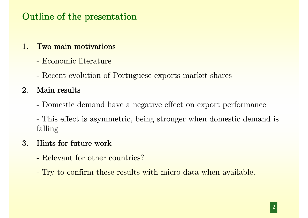# Outline of the presentation

### 1. Two main motivations

- Economic literature
- -Recent evolution of Portuguese exports market shares

### $2. \quad \mathrm{Main} \ \mathrm{results}$

-Domestic demand have a negative effect on export performance

 This effect is asymmetric, being stronger when domestic demand is falling

## 3. Hints for future work

- Relevant for other countries?
- Try to confirm these results with micro data when available.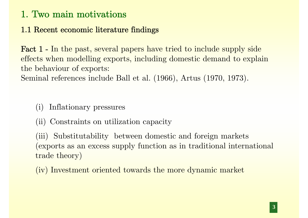#### 1.1 Recent economic literature findings

Fact 1 - In the past, several papers have tried to include supply side effects when modelling exports, including domestic demand to explain the behaviour of exports:

Seminal references include Ball et al. (1966), Artus (1970, 1973).

- (i) Inflationary pressures
- (ii) Constraints on utilization capacity

(iii) Substitutability between domestic and foreign markets (exports as an excess supply function as in traditional international trade theory)

(iv) Investment oriented towards the more dynamic market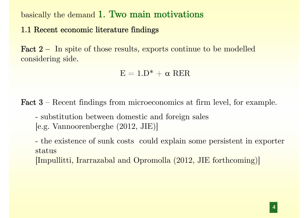basically the demand 1. Two main motivations

#### 1.1 Recent economic literature findings

Fact 2 – In spite of those results, exports continue to be modelled considering side.

 $E = 1.D^* + \alpha RER$ 

Fact 3 – Recent findings from microeconomics at firm level, for example.

 substitution between domestic and foreign sales [e.g. Vannoorenberghe (2012, JIE)]

 the existence of sunk costs could explain some persistent in exporter status

[Impullitti, Irarrazabal and Opromolla (2012, JIE forthcoming)]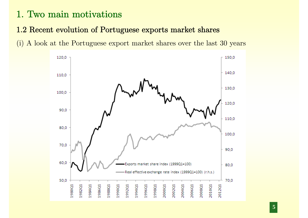#### 1.2 Recent evolution of Portuguese exports market shares



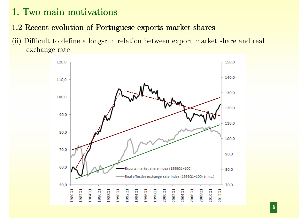### 1.2 Recent evolution of Portuguese exports market shares

(ii) Difficult to define a long-run relation between export market share and real exchange rate

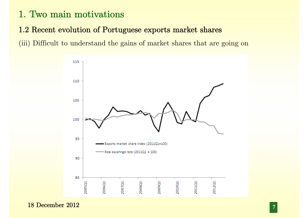#### 1.2 Recent evolution of Portuguese exports market shares

(iii) Difficult to understand the gains of market shares that are going on



18 December 2012**7**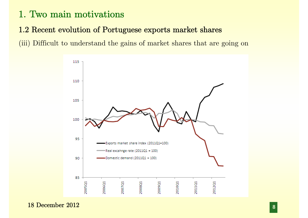#### 1.2 Recent evolution of Portuguese exports market shares

(iii) Difficult to understand the gains of market shares that are going on



18 December 2012**8**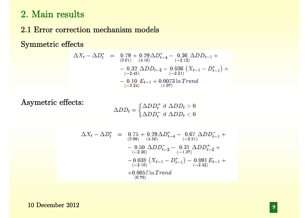### 2. Main results

#### 2.1 Error correction mechanism models

Symmetric effects

$$
\Delta X_t - \Delta D_t^* = 0.79 + 0.29 \Delta D_{t-4}^* - 0.36 \Delta D D_{t-1} +
$$
  
\n
$$
- 0.32 \Delta D D_{t-2} - 0.036 (X_{t-1} - D_{t-1}^*) +
$$
  
\n
$$
- 0.32 \Delta D D_{t-2} - 0.036 (X_{t-1} - D_{t-1}^*) +
$$
  
\n
$$
- 0.10 E_{t-1} + 0.0073 \ln Trend
$$
  
\n
$$
(-3.24)
$$

Asymetric effects:

$$
\Delta DD_t = \begin{cases} \Delta DD_t^+ \text{ if } \Delta DD_t > 0\\ \Delta DD_t^- \text{ if } \Delta DD_t < 0 \end{cases}
$$

$$
\Delta X_t - \Delta D_t^* = 0.75 + 0.29 \Delta D_{t-4}^* - 0.67 \Delta D D_{t-1}^- +
$$
  
\n
$$
- 0.50 \Delta D D_{t-2}^- - 0.31 \Delta D D_{t-2}^+ +
$$
  
\n
$$
- 0.038 \left( X_{t-1} - D_{t-1}^* \right) - 0.091 E_{t-1} +
$$
  
\n
$$
+ 0.0057 \ln Trend
$$
  
\n(0.70)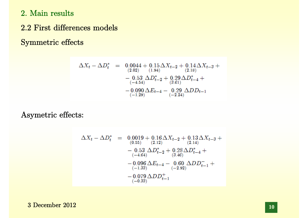2. Main results

2.2 First differences models

Symmetric effects

$$
\Delta X_t - \Delta D_t^* = 0.0044 + 0.15 \Delta X_{t-2} + 0.14 \Delta X_{t-3} +
$$
  
\n(2.02) (1.94)  
\n
$$
- 0.53 \Delta D_{t-2}^* + 0.29 \Delta D_{t-4}^* +
$$
  
\n(3.61)  
\n
$$
- 0.090 \Delta E_{t-4} - 0.29 \Delta DD_{t-1}
$$
  
\n(-1.29)

Asymetric effects:

$$
\Delta X_t - \Delta D_t^* = 0.0019 + 0.16 \Delta X_{t-2} + 0.13 \Delta X_{t-3} +
$$
  
\n
$$
- 0.53 \Delta D_{t-2}^* + 0.28 \Delta D_{t-4}^* +
$$
  
\n
$$
- 0.53 \Delta D_{t-2}^* + 0.28 \Delta D_{t-4}^* +
$$
  
\n
$$
- 0.096 \Delta E_{t-4} - 0.60 \Delta D D_{t-1}^- +
$$
  
\n
$$
- 0.079 \Delta D D_{t-1}^+ +
$$
  
\n
$$
- 0.079 \Delta D D_{t-1}^+
$$

3 December 2012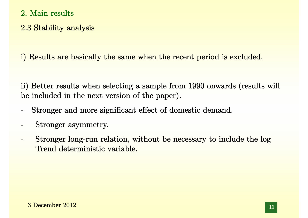- 2. Main results
- 2.3 Stability analysis

i) Results are basically the same when the recent period is excluded.

ii) Better results when selecting a sample from 1990 onwards (results will be included in the next version of the paper).

- Stronger and more significant effect of domestic demand.
- Stronger asymmetry.
- Stronger long-run relation, without be necessary to include the log Trend deterministic variable.